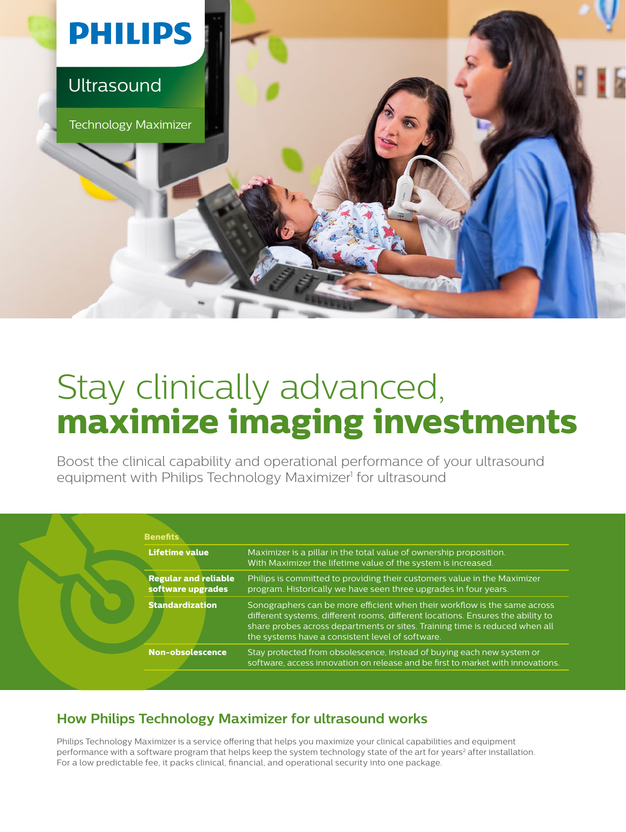

# Stay clinically advanced, **maximize imaging investments**

Boost the clinical capability and operational performance of your ultrasound equipment with Philips Technology Maximizer<sup>1</sup> for ultrasound

| <b>Lifetime value</b>                            | Maximizer is a pillar in the total value of ownership proposition.<br>With Maximizer the lifetime value of the system is increased.                                                                                                                                                             |
|--------------------------------------------------|-------------------------------------------------------------------------------------------------------------------------------------------------------------------------------------------------------------------------------------------------------------------------------------------------|
| <b>Regular and reliable</b><br>software upgrades | Philips is committed to providing their customers value in the Maximizer<br>program. Historically we have seen three upgrades in four years.                                                                                                                                                    |
| <b>Standardization</b>                           | Sonographers can be more efficient when their workflow is the same across<br>different systems, different rooms, different locations. Ensures the ability to<br>share probes across departments or sites. Training time is reduced when all<br>the systems have a consistent level of software. |
| <b>Non-obsolescence</b>                          | Stay protected from obsolescence, instead of buying each new system or<br>software, access innovation on release and be first to market with innovations.                                                                                                                                       |

## **How Philips Technology Maximizer for ultrasound works**

Philips Technology Maximizer is a service offering that helps you maximize your clinical capabilities and equipment performance with a software program that helps keep the system technology state of the art for years<sup>2</sup> after installation. For a low predictable fee, it packs clinical, financial, and operational security into one package.